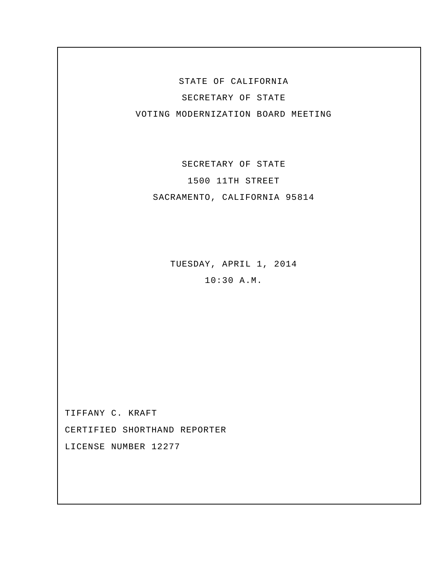STATE OF CALIFORNIA SECRETARY OF STATE VOTING MODERNIZATION BOARD MEETING

SECRETARY OF STATE 1500 11TH STREET SACRAMENTO, CALIFORNIA 95814

> TUESDAY, APRIL 1, 2014 10:30 A.M.

TIFFANY C. KRAFT CERTIFIED SHORTHAND REPORTER LICENSE NUMBER 12277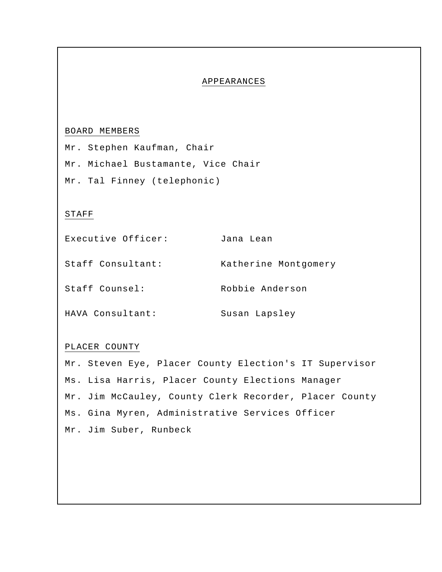## APPEARANCES

## BOARD MEMBERS

Mr. Stephen Kaufman, Chair Mr. Michael Bustamante, Vice Chair Mr. Tal Finney (telephonic)

## STAFF

| Executive Officer: | Jana Lean            |
|--------------------|----------------------|
| Staff Consultant:  | Katherine Montgomery |
| Staff Counsel:     | Robbie Anderson      |
| HAVA Consultant:   | Susan Lapsley        |

## PLACER COUNTY

Mr. Steven Eye, Placer County Election's IT Supervisor Ms. Lisa Harris, Placer County Elections Manager Mr. Jim McCauley, County Clerk Recorder, Placer County Ms. Gina Myren, Administrative Services Officer Mr. Jim Suber, Runbeck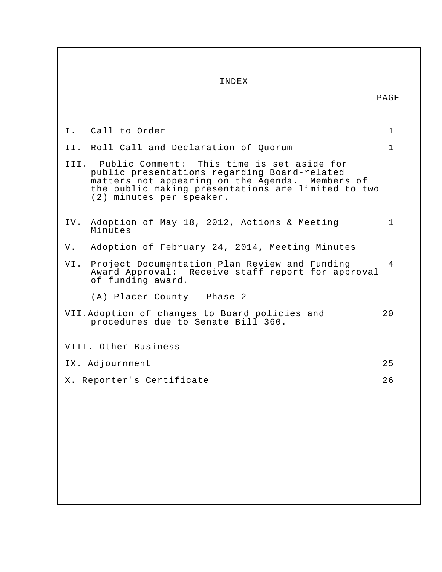| INDEX                                                                                                                                                                                                                                |             |
|--------------------------------------------------------------------------------------------------------------------------------------------------------------------------------------------------------------------------------------|-------------|
|                                                                                                                                                                                                                                      | PAGE        |
|                                                                                                                                                                                                                                      |             |
| I. Call to Order                                                                                                                                                                                                                     | 1           |
| II. Roll Call and Declaration of Quorum                                                                                                                                                                                              | 1           |
| III. Public Comment: This time is set aside for<br>public presentations regarding Board-related<br>matters not appearing on the Agenda. Members of<br>the public making presentations are limited to two<br>(2) minutes per speaker. |             |
| IV. Adoption of May 18, 2012, Actions & Meeting<br>Minutes                                                                                                                                                                           | $\mathbf 1$ |
| V. Adoption of February 24, 2014, Meeting Minutes                                                                                                                                                                                    |             |
| VI. Project Documentation Plan Review and Funding<br>Award Approval: Receive staff report for approval<br>of funding award.                                                                                                          | 4           |
| (A) Placer County - Phase 2                                                                                                                                                                                                          |             |
| VII. Adoption of changes to Board policies and<br>procedures due to Senate Bill 360.                                                                                                                                                 | 20          |
| VIII. Other Business                                                                                                                                                                                                                 |             |
| IX. Adjournment                                                                                                                                                                                                                      |             |
| X. Reporter's Certificate                                                                                                                                                                                                            | 26          |
|                                                                                                                                                                                                                                      |             |
|                                                                                                                                                                                                                                      |             |
|                                                                                                                                                                                                                                      |             |
|                                                                                                                                                                                                                                      |             |
|                                                                                                                                                                                                                                      |             |
|                                                                                                                                                                                                                                      |             |
|                                                                                                                                                                                                                                      |             |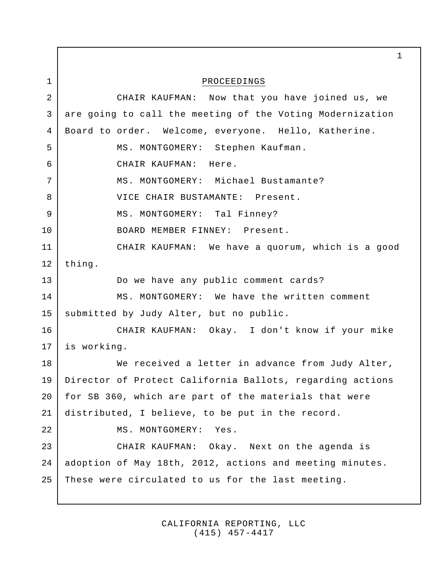PROCEEDINGS CHAIR KAUFMAN: Now that you have joined us, we are going to call the meeting of the Voting Modernization Board to order. Welcome, everyone. Hello, Katherine. MS. MONTGOMERY: Stephen Kaufman. CHAIR KAUFMAN: Here. MS. MONTGOMERY: Michael Bustamante? VICE CHAIR BUSTAMANTE: Present. MS. MONTGOMERY: Tal Finney? BOARD MEMBER FINNEY: Present. CHAIR KAUFMAN: We have a quorum, which is a good thing. Do we have any public comment cards? MS. MONTGOMERY: We have the written comment submitted by Judy Alter, but no public. CHAIR KAUFMAN: Okay. I don't know if your mike is working. We received a letter in advance from Judy Alter, Director of Protect California Ballots, regarding actions for SB 360, which are part of the materials that were distributed, I believe, to be put in the record. MS. MONTGOMERY: Yes. CHAIR KAUFMAN: Okay. Next on the agenda is adoption of May 18th, 2012, actions and meeting minutes. These were circulated to us for the last meeting. 1 1 2 3 4 5 6 7 8 9 10 11 12 13 14 15 16 17 18 19 20 21 22 23 24 25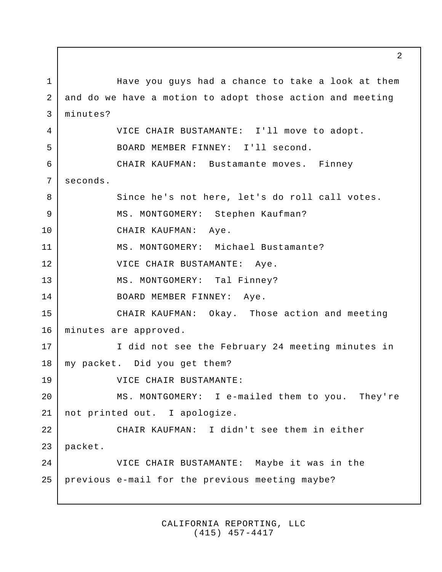Have you guys had a chance to take a look at them and do we have a motion to adopt those action and meeting minutes? VICE CHAIR BUSTAMANTE: I'll move to adopt. BOARD MEMBER FINNEY: I'll second. CHAIR KAUFMAN: Bustamante moves. Finney seconds. Since he's not here, let's do roll call votes. MS. MONTGOMERY: Stephen Kaufman? CHAIR KAUFMAN: Aye. MS. MONTGOMERY: Michael Bustamante? VICE CHAIR BUSTAMANTE: Aye. MS. MONTGOMERY: Tal Finney? BOARD MEMBER FINNEY: Aye. CHAIR KAUFMAN: Okay. Those action and meeting minutes are approved. I did not see the February 24 meeting minutes in my packet. Did you get them? VICE CHAIR BUSTAMANTE: MS. MONTGOMERY: I e-mailed them to you. They're not printed out. I apologize. CHAIR KAUFMAN: I didn't see them in either packet. VICE CHAIR BUSTAMANTE: Maybe it was in the previous e-mail for the previous meeting maybe? 1 2 3 4 5 6 7 8 9 10 11 12 13 14 15 16 17 18 19 20 21 22 23 24 25

> CALIFORNIA REPORTING, LLC (415) 457-4417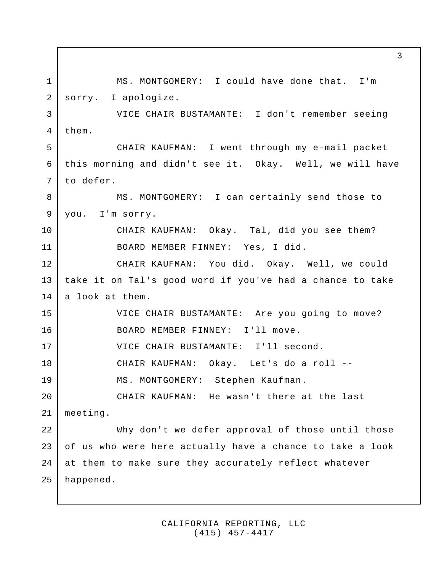MS. MONTGOMERY: I could have done that. I'm sorry. I apologize. VICE CHAIR BUSTAMANTE: I don't remember seeing them. CHAIR KAUFMAN: I went through my e-mail packet this morning and didn't see it. Okay. Well, we will have to defer. MS. MONTGOMERY: I can certainly send those to you. I'm sorry. CHAIR KAUFMAN: Okay. Tal, did you see them? BOARD MEMBER FINNEY: Yes, I did. CHAIR KAUFMAN: You did. Okay. Well, we could take it on Tal's good word if you've had a chance to take a look at them. VICE CHAIR BUSTAMANTE: Are you going to move? BOARD MEMBER FINNEY: I'll move. VICE CHAIR BUSTAMANTE: I'll second. CHAIR KAUFMAN: Okay. Let's do a roll -- MS. MONTGOMERY: Stephen Kaufman. CHAIR KAUFMAN: He wasn't there at the last meeting. Why don't we defer approval of those until those of us who were here actually have a chance to take a look at them to make sure they accurately reflect whatever happened. 1 2 3 4 5 6 7 8 9 10 11 12 13 14 15 16 17 18 19 20 21 22 23 24 25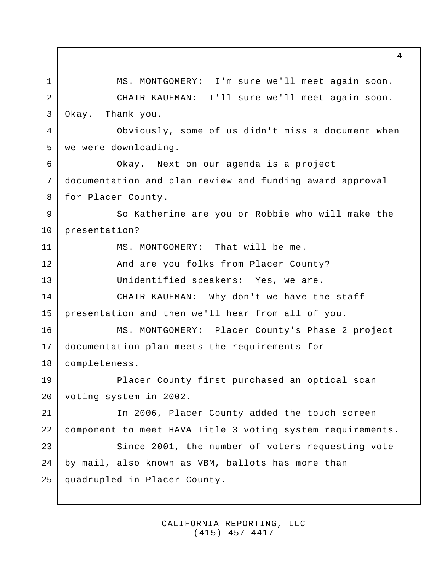MS. MONTGOMERY: I'm sure we'll meet again soon. CHAIR KAUFMAN: I'll sure we'll meet again soon. Okay. Thank you. Obviously, some of us didn't miss a document when we were downloading. Okay. Next on our agenda is a project documentation and plan review and funding award approval for Placer County. So Katherine are you or Robbie who will make the presentation? MS. MONTGOMERY: That will be me. And are you folks from Placer County? Unidentified speakers: Yes, we are. CHAIR KAUFMAN: Why don't we have the staff presentation and then we'll hear from all of you. MS. MONTGOMERY: Placer County's Phase 2 project documentation plan meets the requirements for completeness. Placer County first purchased an optical scan voting system in 2002. In 2006, Placer County added the touch screen component to meet HAVA Title 3 voting system requirements. Since 2001, the number of voters requesting vote by mail, also known as VBM, ballots has more than quadrupled in Placer County. 1 2 3 4 5 6 7 8 9 10 11 12 13 14 15 16 17 18 19 20 21 22 23 24 25

> CALIFORNIA REPORTING, LLC (415) 457-4417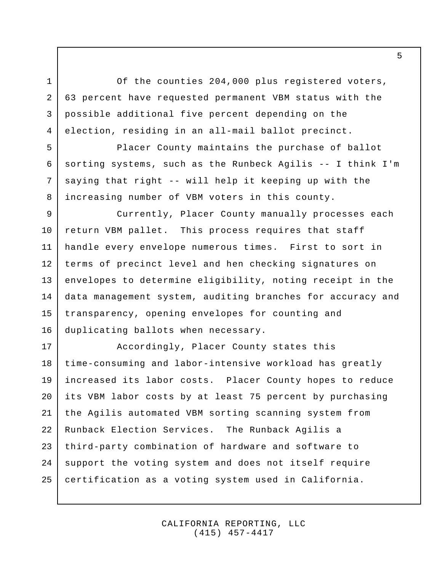Of the counties 204,000 plus registered voters, 63 percent have requested permanent VBM status with the possible additional five percent depending on the election, residing in an all-mail ballot precinct.

1

2

3

4

5

6

7

8

Placer County maintains the purchase of ballot sorting systems, such as the Runbeck Agilis -- I think I'm saying that right -- will help it keeping up with the increasing number of VBM voters in this county.

Currently, Placer County manually processes each return VBM pallet. This process requires that staff handle every envelope numerous times. First to sort in terms of precinct level and hen checking signatures on envelopes to determine eligibility, noting receipt in the data management system, auditing branches for accuracy and transparency, opening envelopes for counting and duplicating ballots when necessary. 9 10 11 12 13 14 15 16

Accordingly, Placer County states this time-consuming and labor-intensive workload has greatly increased its labor costs. Placer County hopes to reduce its VBM labor costs by at least 75 percent by purchasing the Agilis automated VBM sorting scanning system from Runback Election Services. The Runback Agilis a third-party combination of hardware and software to support the voting system and does not itself require certification as a voting system used in California. 17 18 19 20 21 22 23 24 25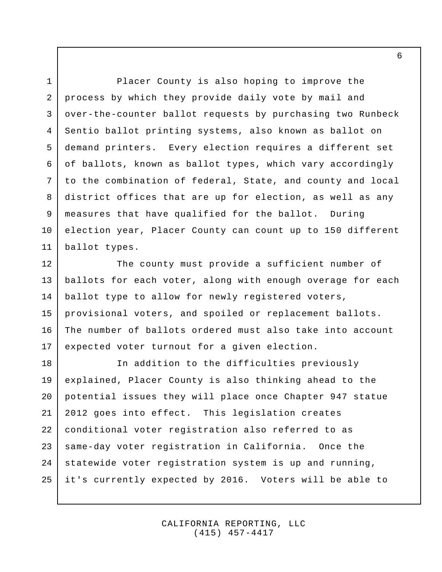Placer County is also hoping to improve the process by which they provide daily vote by mail and over-the-counter ballot requests by purchasing two Runbeck Sentio ballot printing systems, also known as ballot on demand printers. Every election requires a different set of ballots, known as ballot types, which vary accordingly to the combination of federal, State, and county and local district offices that are up for election, as well as any measures that have qualified for the ballot. During election year, Placer County can count up to 150 different ballot types. 3 4 5 6 7 11

1

2

8

9

10

The county must provide a sufficient number of ballots for each voter, along with enough overage for each ballot type to allow for newly registered voters, provisional voters, and spoiled or replacement ballots. The number of ballots ordered must also take into account expected voter turnout for a given election. 12 13 14 15 16 17

In addition to the difficulties previously explained, Placer County is also thinking ahead to the potential issues they will place once Chapter 947 statue 2012 goes into effect. This legislation creates conditional voter registration also referred to as same-day voter registration in California. Once the statewide voter registration system is up and running, it's currently expected by 2016. Voters will be able to 18 19 20 21 22 23 24 25

> CALIFORNIA REPORTING, LLC (415) 457-4417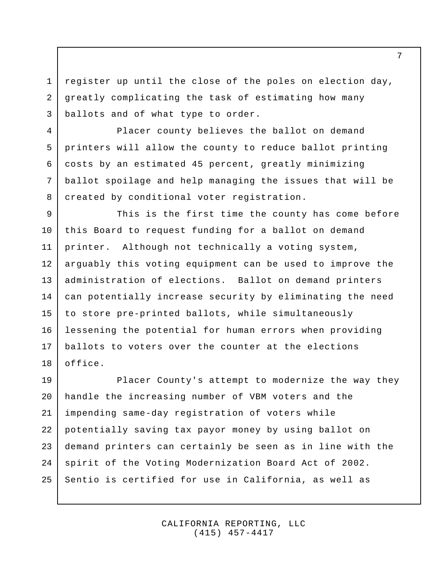register up until the close of the poles on election day, greatly complicating the task of estimating how many ballots and of what type to order. 3

1

2

4

5

6

7

8

Placer county believes the ballot on demand printers will allow the county to reduce ballot printing costs by an estimated 45 percent, greatly minimizing ballot spoilage and help managing the issues that will be created by conditional voter registration.

This is the first time the county has come before this Board to request funding for a ballot on demand printer. Although not technically a voting system, arguably this voting equipment can be used to improve the administration of elections. Ballot on demand printers can potentially increase security by eliminating the need to store pre-printed ballots, while simultaneously lessening the potential for human errors when providing ballots to voters over the counter at the elections office. 9 10 11 12 13 14 15 16 17 18

Placer County's attempt to modernize the way they handle the increasing number of VBM voters and the impending same-day registration of voters while potentially saving tax payor money by using ballot on demand printers can certainly be seen as in line with the spirit of the Voting Modernization Board Act of 2002. Sentio is certified for use in California, as well as 19 20 21 22 23 24 25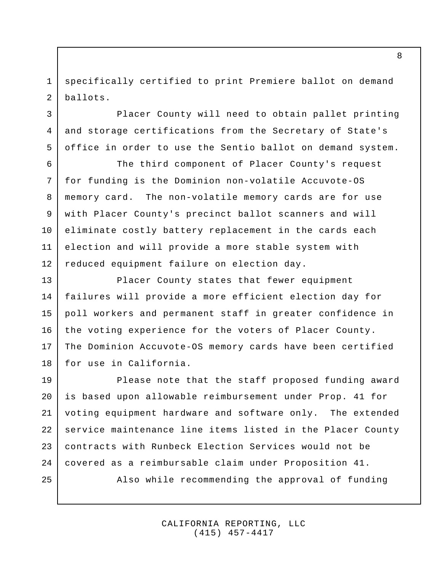specifically certified to print Premiere ballot on demand ballots. 1 2

3

4

5

6

7

8

9

10

11

12

Placer County will need to obtain pallet printing and storage certifications from the Secretary of State's office in order to use the Sentio ballot on demand system.

The third component of Placer County's request for funding is the Dominion non-volatile Accuvote-OS memory card. The non-volatile memory cards are for use with Placer County's precinct ballot scanners and will eliminate costly battery replacement in the cards each election and will provide a more stable system with reduced equipment failure on election day.

Placer County states that fewer equipment failures will provide a more efficient election day for poll workers and permanent staff in greater confidence in the voting experience for the voters of Placer County. The Dominion Accuvote-OS memory cards have been certified for use in California. 13 14 15 16 17 18

Please note that the staff proposed funding award is based upon allowable reimbursement under Prop. 41 for voting equipment hardware and software only. The extended service maintenance line items listed in the Placer County contracts with Runbeck Election Services would not be covered as a reimbursable claim under Proposition 41. Also while recommending the approval of funding 19 20 21 22 23 24 25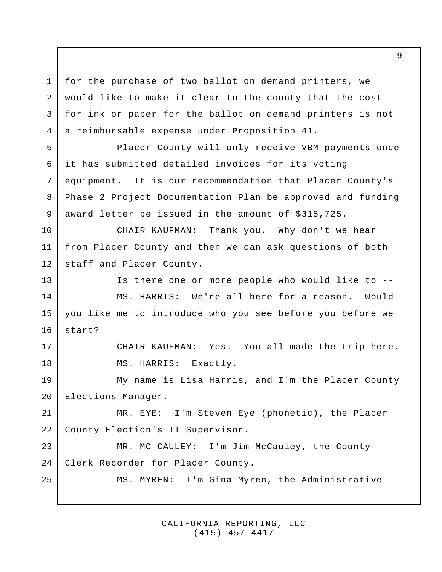for the purchase of two ballot on demand printers, we would like to make it clear to the county that the cost for ink or paper for the ballot on demand printers is not a reimbursable expense under Proposition 41. 3 4

1

2

17

18

25

Placer County will only receive VBM payments once it has submitted detailed invoices for its voting equipment. It is our recommendation that Placer County's Phase 2 Project Documentation Plan be approved and funding award letter be issued in the amount of \$315,725. 5 6 7 8 9

CHAIR KAUFMAN: Thank you. Why don't we hear from Placer County and then we can ask questions of both staff and Placer County. 10 11 12

Is there one or more people who would like to -- MS. HARRIS: We're all here for a reason. Would you like me to introduce who you see before you before we start? 13 14 15 16

> CHAIR KAUFMAN: Yes. You all made the trip here. MS. HARRIS: Exactly.

My name is Lisa Harris, and I'm the Placer County Elections Manager. 19 20

MR. EYE: I'm Steven Eye (phonetic), the Placer County Election's IT Supervisor. 21 22

MR. MC CAULEY: I'm Jim McCauley, the County Clerk Recorder for Placer County. 23 24

MS. MYREN: I'm Gina Myren, the Administrative

CALIFORNIA REPORTING, LLC (415) 457-4417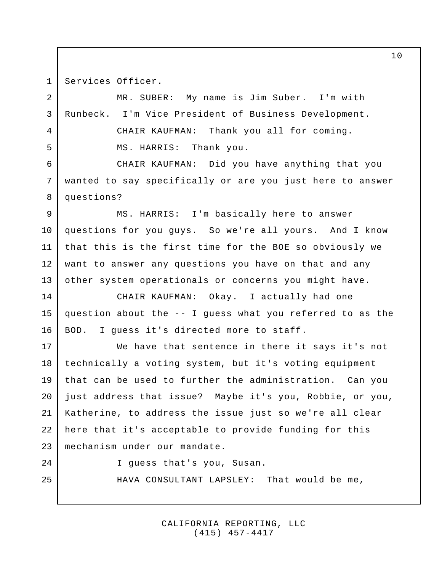Services Officer. 1

2

3

4

5

MR. SUBER: My name is Jim Suber. I'm with Runbeck. I'm Vice President of Business Development. CHAIR KAUFMAN: Thank you all for coming. MS. HARRIS: Thank you.

CHAIR KAUFMAN: Did you have anything that you wanted to say specifically or are you just here to answer questions? 6 7 8

MS. HARRIS: I'm basically here to answer questions for you guys. So we're all yours. And I know that this is the first time for the BOE so obviously we want to answer any questions you have on that and any other system operationals or concerns you might have. 9 10 11 12 13

CHAIR KAUFMAN: Okay. I actually had one question about the -- I guess what you referred to as the BOD. I guess it's directed more to staff. 14 15 16

We have that sentence in there it says it's not technically a voting system, but it's voting equipment that can be used to further the administration. Can you just address that issue? Maybe it's you, Robbie, or you, Katherine, to address the issue just so we're all clear here that it's acceptable to provide funding for this mechanism under our mandate. 17 18 19 20 21 22 23

24

25

I guess that's you, Susan.

HAVA CONSULTANT LAPSLEY: That would be me,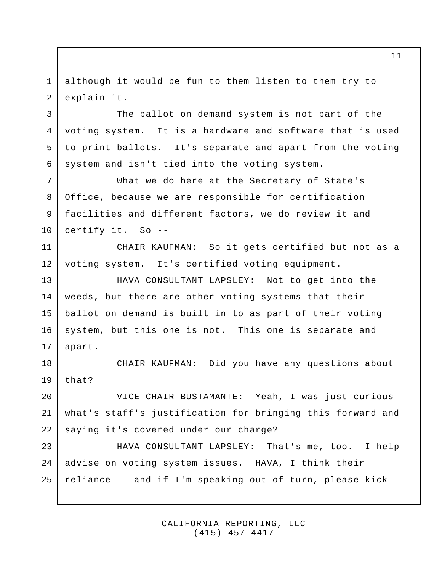although it would be fun to them listen to them try to explain it. 1 2

3

5

6

The ballot on demand system is not part of the voting system. It is a hardware and software that is used to print ballots. It's separate and apart from the voting system and isn't tied into the voting system. 4

What we do here at the Secretary of State's Office, because we are responsible for certification facilities and different factors, we do review it and certify it. So -- 7 8 9 10

CHAIR KAUFMAN: So it gets certified but not as a voting system. It's certified voting equipment. 11 12

HAVA CONSULTANT LAPSLEY: Not to get into the weeds, but there are other voting systems that their ballot on demand is built in to as part of their voting system, but this one is not. This one is separate and apart. 13 14 15 16 17

CHAIR KAUFMAN: Did you have any questions about that? 18 19

VICE CHAIR BUSTAMANTE: Yeah, I was just curious what's staff's justification for bringing this forward and saying it's covered under our charge? 20 21 22

HAVA CONSULTANT LAPSLEY: That's me, too. I help advise on voting system issues. HAVA, I think their reliance -- and if I'm speaking out of turn, please kick 23 24 25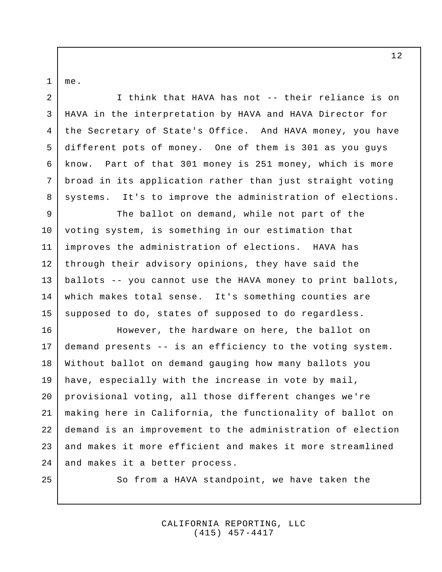me. 1

2

3

4

5

6

7

8

I think that HAVA has not -- their reliance is on HAVA in the interpretation by HAVA and HAVA Director for the Secretary of State's Office. And HAVA money, you have different pots of money. One of them is 301 as you guys know. Part of that 301 money is 251 money, which is more broad in its application rather than just straight voting systems. It's to improve the administration of elections.

The ballot on demand, while not part of the voting system, is something in our estimation that improves the administration of elections. HAVA has through their advisory opinions, they have said the ballots -- you cannot use the HAVA money to print ballots, which makes total sense. It's something counties are supposed to do, states of supposed to do regardless. 9 10 11 12 13 14 15

However, the hardware on here, the ballot on demand presents -- is an efficiency to the voting system. Without ballot on demand gauging how many ballots you have, especially with the increase in vote by mail, provisional voting, all those different changes we're making here in California, the functionality of ballot on demand is an improvement to the administration of election and makes it more efficient and makes it more streamlined and makes it a better process. 16 17 18 19 20 21 22 23 24

25

So from a HAVA standpoint, we have taken the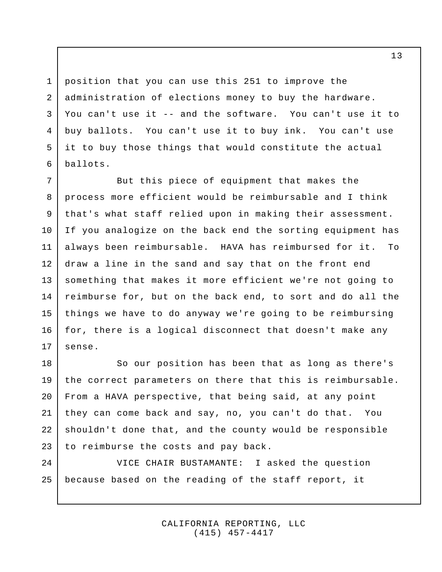position that you can use this 251 to improve the administration of elections money to buy the hardware. You can't use it -- and the software. You can't use it to buy ballots. You can't use it to buy ink. You can't use it to buy those things that would constitute the actual ballots.

1

2

3

4

5

6

But this piece of equipment that makes the process more efficient would be reimbursable and I think that's what staff relied upon in making their assessment. If you analogize on the back end the sorting equipment has always been reimbursable. HAVA has reimbursed for it. To draw a line in the sand and say that on the front end something that makes it more efficient we're not going to reimburse for, but on the back end, to sort and do all the things we have to do anyway we're going to be reimbursing for, there is a logical disconnect that doesn't make any sense. 7 8 9 10 11 12 13 14 15 16 17

So our position has been that as long as there's the correct parameters on there that this is reimbursable. From a HAVA perspective, that being said, at any point they can come back and say, no, you can't do that. You shouldn't done that, and the county would be responsible to reimburse the costs and pay back. 18 19 20 21 22 23

VICE CHAIR BUSTAMANTE: I asked the question because based on the reading of the staff report, it 24 25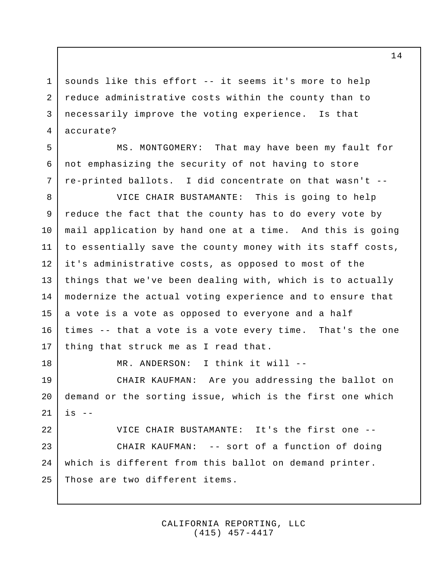sounds like this effort -- it seems it's more to help reduce administrative costs within the county than to necessarily improve the voting experience. Is that accurate? 1 2 3 4

MS. MONTGOMERY: That may have been my fault for not emphasizing the security of not having to store re-printed ballots. I did concentrate on that wasn't -- 5 6 7

VICE CHAIR BUSTAMANTE: This is going to help reduce the fact that the county has to do every vote by mail application by hand one at a time. And this is going to essentially save the county money with its staff costs, it's administrative costs, as opposed to most of the things that we've been dealing with, which is to actually modernize the actual voting experience and to ensure that a vote is a vote as opposed to everyone and a half times -- that a vote is a vote every time. That's the one thing that struck me as I read that. 8 9 10 11 12 13 14 15 16 17

18

MR. ANDERSON: I think it will --

CHAIR KAUFMAN: Are you addressing the ballot on demand or the sorting issue, which is the first one which  $is$   $-$ 19 20 21

VICE CHAIR BUSTAMANTE: It's the first one -- CHAIR KAUFMAN: -- sort of a function of doing which is different from this ballot on demand printer. Those are two different items. 22 23 24 25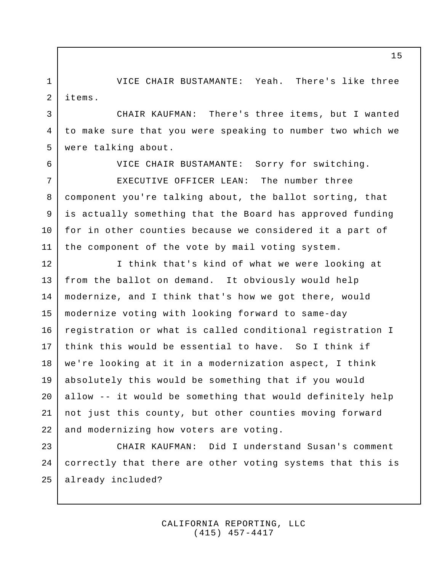VICE CHAIR BUSTAMANTE: Yeah. There's like three items. 1 2

CHAIR KAUFMAN: There's three items, but I wanted to make sure that you were speaking to number two which we were talking about. 3 4 5

6

7

9

10

VICE CHAIR BUSTAMANTE: Sorry for switching.

EXECUTIVE OFFICER LEAN: The number three component you're talking about, the ballot sorting, that is actually something that the Board has approved funding for in other counties because we considered it a part of the component of the vote by mail voting system. 8 11

I think that's kind of what we were looking at from the ballot on demand. It obviously would help modernize, and I think that's how we got there, would modernize voting with looking forward to same-day registration or what is called conditional registration I think this would be essential to have. So I think if we're looking at it in a modernization aspect, I think absolutely this would be something that if you would allow -- it would be something that would definitely help not just this county, but other counties moving forward and modernizing how voters are voting. 12 13 14 15 16 17 18 19 20 21 22

CHAIR KAUFMAN: Did I understand Susan's comment correctly that there are other voting systems that this is already included? 23 24 25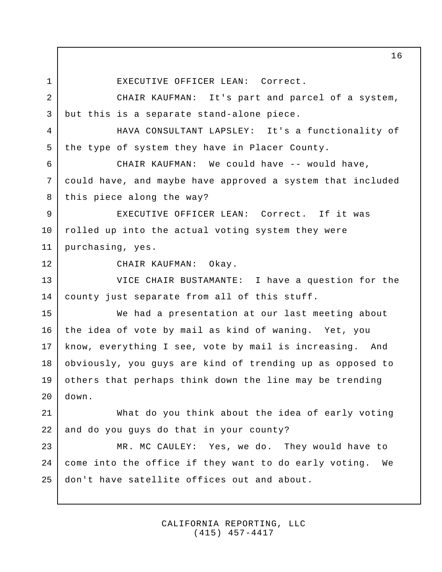EXECUTIVE OFFICER LEAN: Correct. CHAIR KAUFMAN: It's part and parcel of a system, but this is a separate stand-alone piece. HAVA CONSULTANT LAPSLEY: It's a functionality of the type of system they have in Placer County. CHAIR KAUFMAN: We could have -- would have, could have, and maybe have approved a system that included this piece along the way? EXECUTIVE OFFICER LEAN: Correct. If it was rolled up into the actual voting system they were purchasing, yes. CHAIR KAUFMAN: Okay. VICE CHAIR BUSTAMANTE: I have a question for the county just separate from all of this stuff. We had a presentation at our last meeting about the idea of vote by mail as kind of waning. Yet, you know, everything I see, vote by mail is increasing. And obviously, you guys are kind of trending up as opposed to others that perhaps think down the line may be trending down. What do you think about the idea of early voting and do you guys do that in your county? MR. MC CAULEY: Yes, we do. They would have to come into the office if they want to do early voting. We don't have satellite offices out and about. 1 2 3 4 5 6 7 8 9 10 11 12 13 14 15 16 17 18 19  $20$ 21 22 23 24 25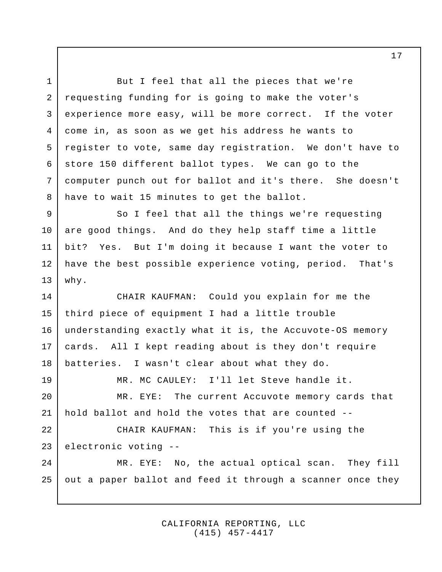But I feel that all the pieces that we're requesting funding for is going to make the voter's experience more easy, will be more correct. If the voter come in, as soon as we get his address he wants to register to vote, same day registration. We don't have to store 150 different ballot types. We can go to the computer punch out for ballot and it's there. She doesn't have to wait 15 minutes to get the ballot. So I feel that all the things we're requesting are good things. And do they help staff time a little bit? Yes. But I'm doing it because I want the voter to have the best possible experience voting, period. That's why. CHAIR KAUFMAN: Could you explain for me the third piece of equipment I had a little trouble understanding exactly what it is, the Accuvote-OS memory cards. All I kept reading about is they don't require batteries. I wasn't clear about what they do. MR. MC CAULEY: I'll let Steve handle it. MR. EYE: The current Accuvote memory cards that hold ballot and hold the votes that are counted -- CHAIR KAUFMAN: This is if you're using the electronic voting -- MR. EYE: No, the actual optical scan. They fill out a paper ballot and feed it through a scanner once they 1 2 3 4 5 6 7 8 9 10 11 12 13 14 15 16 17 18 19 20 21 22 23 24 25

> CALIFORNIA REPORTING, LLC (415) 457-4417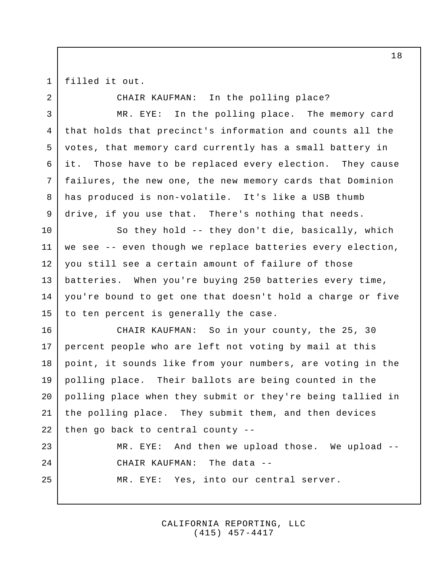1 2

3

4

5

6

7

8

9

23

24

25

filled it out.

CHAIR KAUFMAN: In the polling place?

MR. EYE: In the polling place. The memory card that holds that precinct's information and counts all the votes, that memory card currently has a small battery in it. Those have to be replaced every election. They cause failures, the new one, the new memory cards that Dominion has produced is non-volatile. It's like a USB thumb drive, if you use that. There's nothing that needs.

So they hold -- they don't die, basically, which we see -- even though we replace batteries every election, you still see a certain amount of failure of those batteries. When you're buying 250 batteries every time, you're bound to get one that doesn't hold a charge or five to ten percent is generally the case. 10 11 12 13 14 15

CHAIR KAUFMAN: So in your county, the 25, 30 percent people who are left not voting by mail at this point, it sounds like from your numbers, are voting in the polling place. Their ballots are being counted in the polling place when they submit or they're being tallied in the polling place. They submit them, and then devices then go back to central county -- 16 17 18 19 20 21 22

> MR. EYE: And then we upload those. We upload -- CHAIR KAUFMAN: The data -- MR. EYE: Yes, into our central server.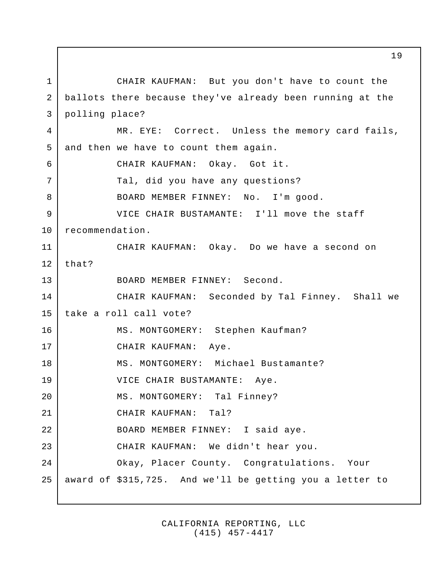CHAIR KAUFMAN: But you don't have to count the ballots there because they've already been running at the polling place? MR. EYE: Correct. Unless the memory card fails, and then we have to count them again. CHAIR KAUFMAN: Okay. Got it. Tal, did you have any questions? BOARD MEMBER FINNEY: No. I'm good. VICE CHAIR BUSTAMANTE: I'll move the staff recommendation. CHAIR KAUFMAN: Okay. Do we have a second on that? BOARD MEMBER FINNEY: Second. CHAIR KAUFMAN: Seconded by Tal Finney. Shall we take a roll call vote? MS. MONTGOMERY: Stephen Kaufman? CHAIR KAUFMAN: Aye. MS. MONTGOMERY: Michael Bustamante? VICE CHAIR BUSTAMANTE: Aye. MS. MONTGOMERY: Tal Finney? CHAIR KAUFMAN: Tal? BOARD MEMBER FINNEY: I said aye. CHAIR KAUFMAN: We didn't hear you. Okay, Placer County. Congratulations. Your award of \$315,725. And we'll be getting you a letter to 1 2 3 4 5 6 7 8 9 10 11 12 13 14 15 16 17 18 19 20 21 22 23 24 25

> CALIFORNIA REPORTING, LLC (415) 457-4417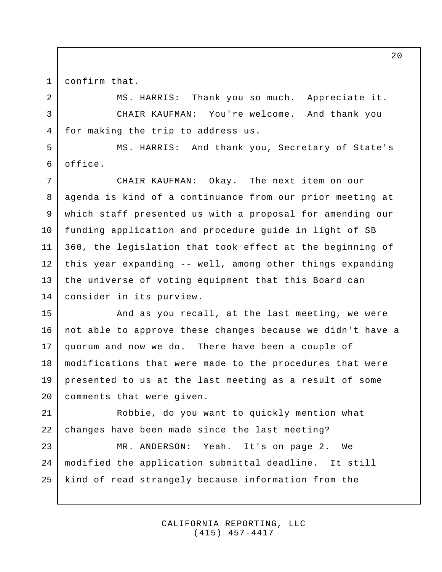1

confirm that.

MS. HARRIS: Thank you so much. Appreciate it. CHAIR KAUFMAN: You're welcome. And thank you for making the trip to address us. 2 3 4

MS. HARRIS: And thank you, Secretary of State's office. 5 6

CHAIR KAUFMAN: Okay. The next item on our agenda is kind of a continuance from our prior meeting at which staff presented us with a proposal for amending our funding application and procedure guide in light of SB 360, the legislation that took effect at the beginning of this year expanding -- well, among other things expanding the universe of voting equipment that this Board can consider in its purview. 7 8 9 10 11 12 13 14

And as you recall, at the last meeting, we were not able to approve these changes because we didn't have a quorum and now we do. There have been a couple of modifications that were made to the procedures that were presented to us at the last meeting as a result of some comments that were given. 15 16 17 18 19 20

Robbie, do you want to quickly mention what changes have been made since the last meeting? 21 22

MR. ANDERSON: Yeah. It's on page 2. We modified the application submittal deadline. It still kind of read strangely because information from the 23 24 25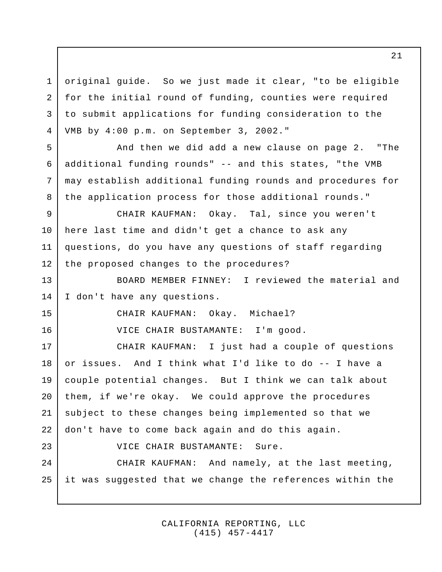original guide. So we just made it clear, "to be eligible for the initial round of funding, counties were required to submit applications for funding consideration to the VMB by 4:00 p.m. on September 3, 2002." 1 2 3 4

And then we did add a new clause on page 2. "The additional funding rounds" -- and this states, "the VMB may establish additional funding rounds and procedures for the application process for those additional rounds."

CHAIR KAUFMAN: Okay. Tal, since you weren't here last time and didn't get a chance to ask any questions, do you have any questions of staff regarding the proposed changes to the procedures? 9 10 11 12

BOARD MEMBER FINNEY: I reviewed the material and I don't have any questions. 13 14

15

16

23

5

6

7

8

CHAIR KAUFMAN: Okay. Michael?

VICE CHAIR BUSTAMANTE: I'm good.

CHAIR KAUFMAN: I just had a couple of questions or issues. And I think what I'd like to do -- I have a couple potential changes. But I think we can talk about them, if we're okay. We could approve the procedures subject to these changes being implemented so that we don't have to come back again and do this again. 17 18 19 20 21 22

VICE CHAIR BUSTAMANTE: Sure.

CHAIR KAUFMAN: And namely, at the last meeting, it was suggested that we change the references within the 24 25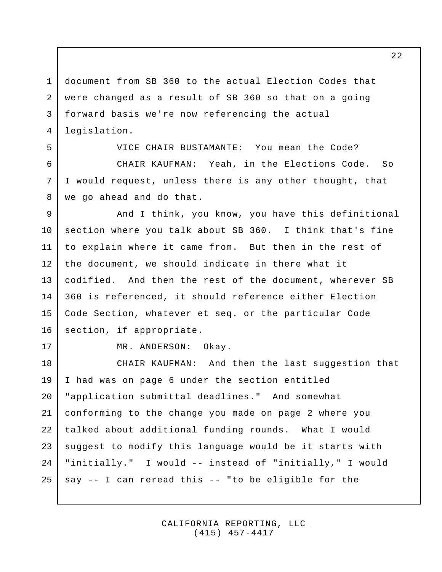document from SB 360 to the actual Election Codes that were changed as a result of SB 360 so that on a going forward basis we're now referencing the actual legislation. 1 2 3 4

VICE CHAIR BUSTAMANTE: You mean the Code? CHAIR KAUFMAN: Yeah, in the Elections Code. So I would request, unless there is any other thought, that we go ahead and do that.

And I think, you know, you have this definitional section where you talk about SB 360. I think that's fine to explain where it came from. But then in the rest of the document, we should indicate in there what it codified. And then the rest of the document, wherever SB 360 is referenced, it should reference either Election Code Section, whatever et seq. or the particular Code section, if appropriate. 9 10 11 12 13 14 15 16

17

5

6

7

8

MR. ANDERSON: Okay.

CHAIR KAUFMAN: And then the last suggestion that I had was on page 6 under the section entitled "application submittal deadlines." And somewhat conforming to the change you made on page 2 where you talked about additional funding rounds. What I would suggest to modify this language would be it starts with "initially." I would -- instead of "initially," I would say -- I can reread this -- "to be eligible for the 18 19 20 21 22 23 24 25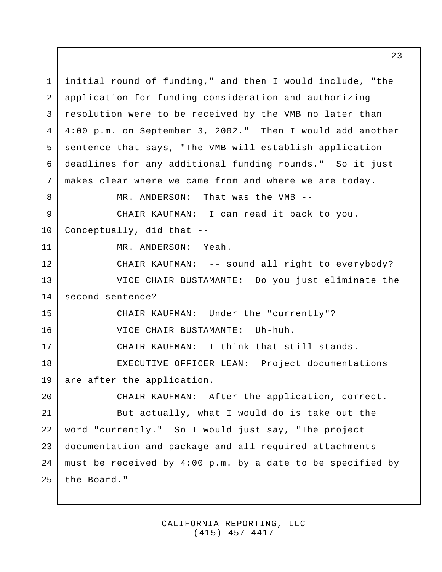initial round of funding," and then I would include, "the application for funding consideration and authorizing resolution were to be received by the VMB no later than 4:00 p.m. on September 3, 2002." Then I would add another sentence that says, "The VMB will establish application deadlines for any additional funding rounds." So it just makes clear where we came from and where we are today. MR. ANDERSON: That was the VMB -- CHAIR KAUFMAN: I can read it back to you. Conceptually, did that -- MR. ANDERSON: Yeah. CHAIR KAUFMAN: -- sound all right to everybody? VICE CHAIR BUSTAMANTE: Do you just eliminate the second sentence? CHAIR KAUFMAN: Under the "currently"? VICE CHAIR BUSTAMANTE: Uh-huh. CHAIR KAUFMAN: I think that still stands. EXECUTIVE OFFICER LEAN: Project documentations are after the application. CHAIR KAUFMAN: After the application, correct. But actually, what I would do is take out the word "currently." So I would just say, "The project documentation and package and all required attachments must be received by 4:00 p.m. by a date to be specified by the Board." 1 2 3 4 5 6 7 8 9 10 11 12 13 14 15 16 17 18 19 20 21 22 23 24 25

> CALIFORNIA REPORTING, LLC (415) 457-4417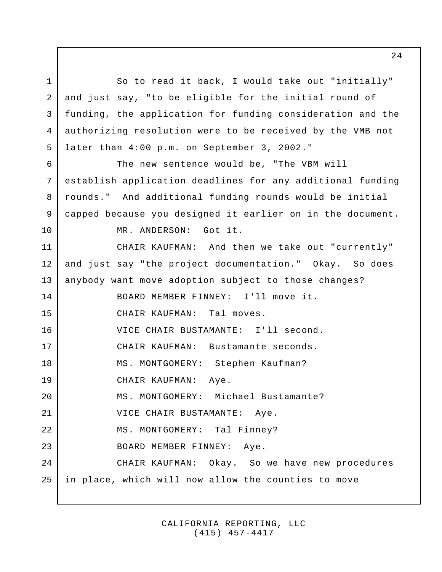So to read it back, I would take out "initially" and just say, "to be eligible for the initial round of funding, the application for funding consideration and the authorizing resolution were to be received by the VMB not later than 4:00 p.m. on September 3, 2002." The new sentence would be, "The VBM will establish application deadlines for any additional funding rounds." And additional funding rounds would be initial capped because you designed it earlier on in the document. MR. ANDERSON: Got it. CHAIR KAUFMAN: And then we take out "currently" and just say "the project documentation." Okay. So does anybody want move adoption subject to those changes? BOARD MEMBER FINNEY: I'll move it. CHAIR KAUFMAN: Tal moves. VICE CHAIR BUSTAMANTE: I'll second. CHAIR KAUFMAN: Bustamante seconds. MS. MONTGOMERY: Stephen Kaufman? CHAIR KAUFMAN: Aye. MS. MONTGOMERY: Michael Bustamante? VICE CHAIR BUSTAMANTE: Aye. MS. MONTGOMERY: Tal Finney? BOARD MEMBER FINNEY: Aye. CHAIR KAUFMAN: Okay. So we have new procedures in place, which will now allow the counties to move 1 2 3 4 5 6 7 8 9 10 11 12 13 14 15 16 17 18 19 20 21 22 23 24 25

> CALIFORNIA REPORTING, LLC (415) 457-4417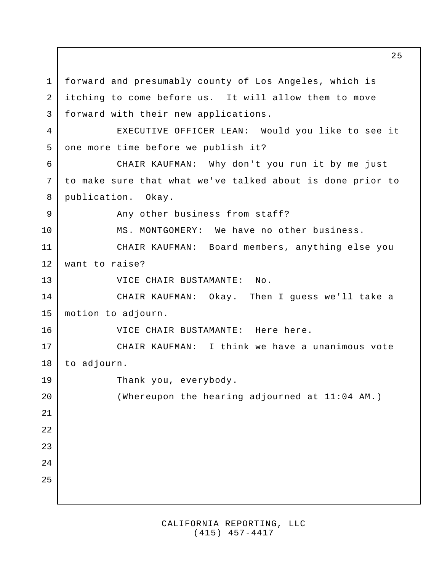forward and presumably county of Los Angeles, which is itching to come before us. It will allow them to move forward with their new applications. EXECUTIVE OFFICER LEAN: Would you like to see it one more time before we publish it? CHAIR KAUFMAN: Why don't you run it by me just to make sure that what we've talked about is done prior to publication. Okay. Any other business from staff? MS. MONTGOMERY: We have no other business. CHAIR KAUFMAN: Board members, anything else you want to raise? VICE CHAIR BUSTAMANTE: No. CHAIR KAUFMAN: Okay. Then I guess we'll take a motion to adjourn. VICE CHAIR BUSTAMANTE: Here here. CHAIR KAUFMAN: I think we have a unanimous vote to adjourn. Thank you, everybody. (Whereupon the hearing adjourned at 11:04 AM.) 1 2 3 4 5 6 7 8 9 10 11 12 13 14 15 16 17 18 19 20 21 22 23 24 25